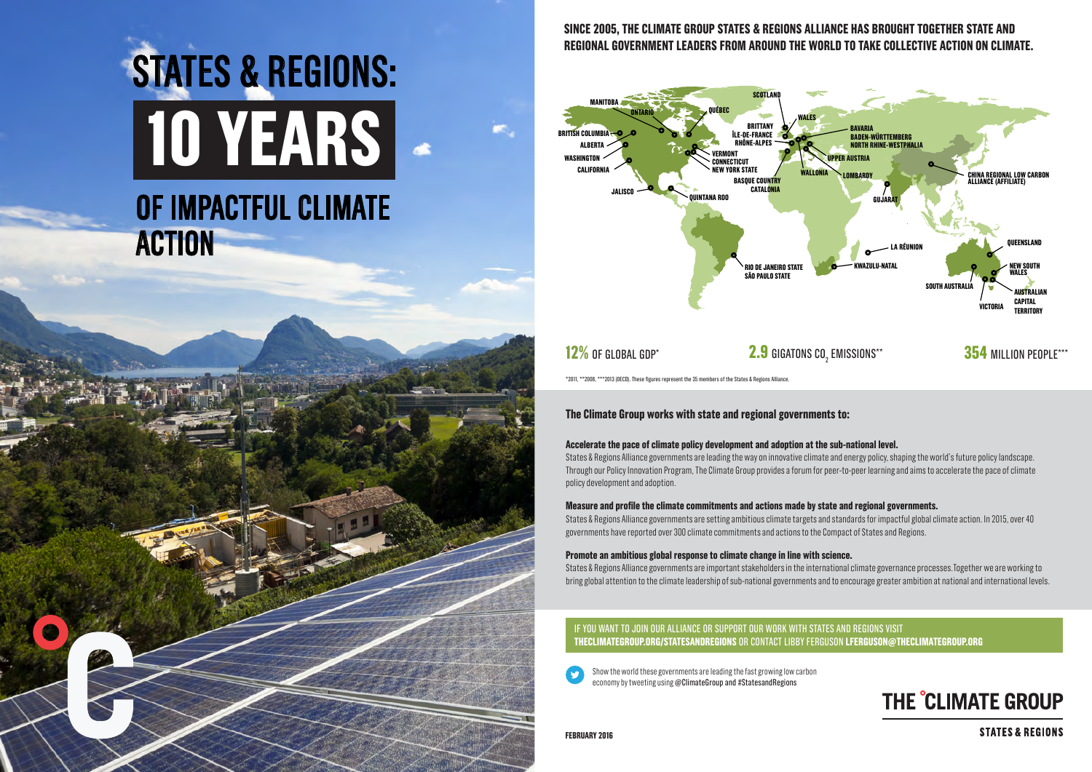### **The Climate Group works with state and regional governments to:**

**Accelerate the pace of climate policy development and adoption at the sub-national level.** States & Regions Alliance governments are leading the way on innovative climate and energy policy, shaping the world's future policy landscape. Through our Policy Innovation Program, The Climate Group provides a forum for peer-to-peer learning and aims to accelerate the pace of climate policy development and adoption.

## SINCE 2005, THE CLIMATE GROUP STATES & REGIONS ALLIANCE HAS BROUGHT TOGETHER STATE AND **regional government leaders from around the world to take collective action on climate.**

**Measure and profile the climate commitments and actions made by state and regional governments.**  States & Regions Alliance governments are setting ambitious climate targets and standards for impactful global climate action. In 2015, over 40 governments have reported over 300 climate commitments and actions to the Compact of States and Regions.

**Promote an ambitious global response to climate change in line with science.**  States & Regions Alliance governments are important stakeholders in the international climate governance processes.Together we are working to bring global attention to the climate leadership of sub-national governments and to encourage greater ambition at national and international levels.

## **10 years** of impactful climate **ACTION** STATES & REGIONS:

\*2011, \*\*2008, \*\*\*2013 (OECD). These figures represent the 35 members of the States & Regions Alliance.

**february 2016**

**354 MILLION PEOPLE\*\*\*** 

## THE CLIMATE GROUP

**STATES & REGIONS** 

Show the world these governments are leading the fast growing low carbon economy by tweeting using @ClimateGroup and #StatesandRegions

### If you want to join our Alliance or support our work with states and regions visit **theclimategroup.org/statesandregions** or contact Libby Ferguson **lferguson@theclimategroup.org**



## **12%** OF GLOBAL GDP\* **2.9** GIGATONS CO<sub>2</sub> EMISSIONS\*\*